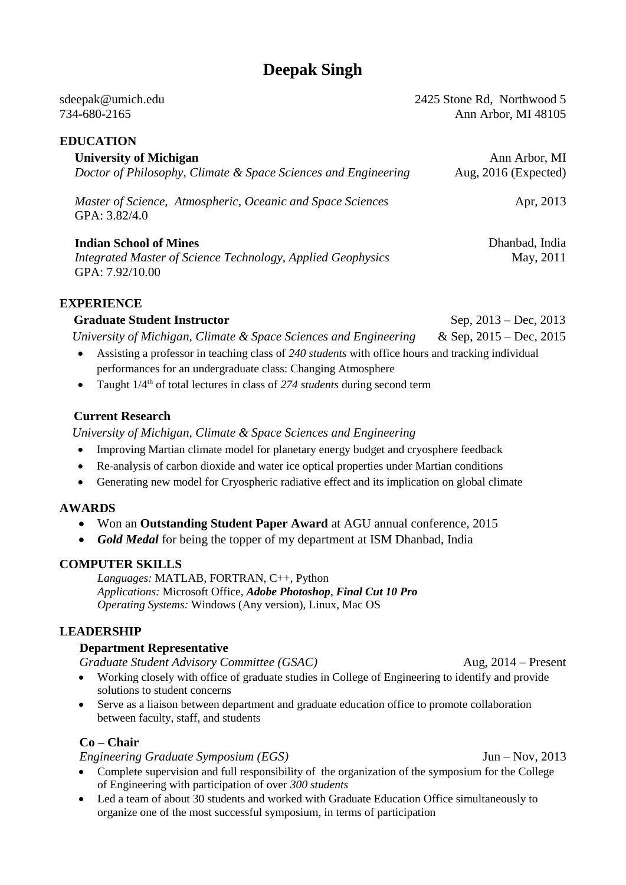# **Deepak Singh**

| sdeepak@umich.edu                                                           | 2425 Stone Rd, Northwood 5 |
|-----------------------------------------------------------------------------|----------------------------|
| 734-680-2165                                                                | Ann Arbor, MI 48105        |
| <b>EDUCATION</b>                                                            |                            |
| <b>University of Michigan</b>                                               | Ann Arbor, MI              |
| Doctor of Philosophy, Climate & Space Sciences and Engineering              | Aug, $2016$ (Expected)     |
| Master of Science, Atmospheric, Oceanic and Space Sciences<br>GPA: 3.82/4.0 | Apr, 2013                  |
|                                                                             |                            |

**Indian School of Mines** *Integrated Master of Science Technology, Applied Geophysics* GPA: 7.92/10.00

## **EXPERIENCE**

**Graduate Student Instructor** Sep, 2013 – Dec, 2013 *University of Michigan, Climate & Space Sciences and Engineering* & Sep, 2015 – Dec, 2015

- Assisting a professor in teaching class of *240 students* with office hours and tracking individual performances for an undergraduate class: Changing Atmosphere
- Taught  $1/4<sup>th</sup>$  of total lectures in class of 274 *students* during second term

## **Current Research**

*University of Michigan, Climate & Space Sciences and Engineering*

- Improving Martian climate model for planetary energy budget and cryosphere feedback
- Re-analysis of carbon dioxide and water ice optical properties under Martian conditions
- Generating new model for Cryospheric radiative effect and its implication on global climate

## **AWARDS**

- Won an **Outstanding Student Paper Award** at AGU annual conference, 2015
- *Gold Medal* for being the topper of my department at ISM Dhanbad, India

#### **COMPUTER SKILLS**

*Languages:* MATLAB, FORTRAN, C++, Python *Applications:* Microsoft Office, *Adobe Photoshop*, *Final Cut 10 Pro Operating Systems:* Windows (Any version), Linux, Mac OS

## **LEADERSHIP**

#### **Department Representative**

*Graduate Student Advisory Committee (GSAC)* Aug, 2014 – Present

- Working closely with office of graduate studies in College of Engineering to identify and provide solutions to student concerns
- Serve as a liaison between department and graduate education office to promote collaboration between faculty, staff, and students

## **Co – Chair**

#### *Engineering Graduate Symposium (EGS)* Jun – Nov, 2013

- Complete supervision and full responsibility of the organization of the symposium for the College of Engineering with participation of over *300 students*
- Led a team of about 30 students and worked with Graduate Education Office simultaneously to organize one of the most successful symposium, in terms of participation

Dhanbad, India May, 2011